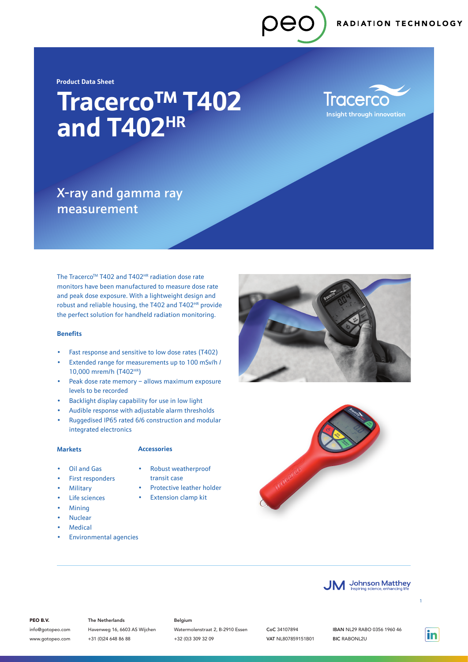**Product Data Sheet**

# **Tracerco**TM **T402 and T402HR**

**Tracerco Insight through innovation** 

## X-ray and gamma ray measurement

The Tracerco™ T402 and T402<sup>HR</sup> radiation dose rate monitors have been manufactured to measure dose rate and peak dose exposure. With a lightweight design and robust and reliable housing, the T402 and T402<sup>HR</sup> provide the perfect solution for handheld radiation monitoring.

### **Benefits**

- Fast response and sensitive to low dose rates (T402)
- Extended range for measurements up to 100 mSv/h / 10,000 mrem/h (T402HR)
- Peak dose rate memory allows maximum exposure levels to be recorded
- Backlight display capability for use in low light
- Audible response with adjustable alarm thresholds
- Ruggedised IP65 rated 6/6 construction and modular integrated electronics

### **Markets**

### **Accessories**

- Oil and Gas
- Robust weatherproof transit case
- First responders • Military
- Protective leather holder **Extension clamp kit**
- Life sciences
- Mining
- Nuclear
- **Medical**
- Environmental agencies







### PEO B.V.

info@gotopeo.com www.gotopeo.com The Netherlands

Havenweg 16, 6603 AS Wijchen +31 (0)24 648 86 88

### Belgium

Watermolenstraat 2, B-2910 Essen +32 (0)3 309 32 09

CoC 34107894 VAT NL807859151B01 IBAN NL29 RABO 0356 1960 46 BIC RABONL2U

in

1